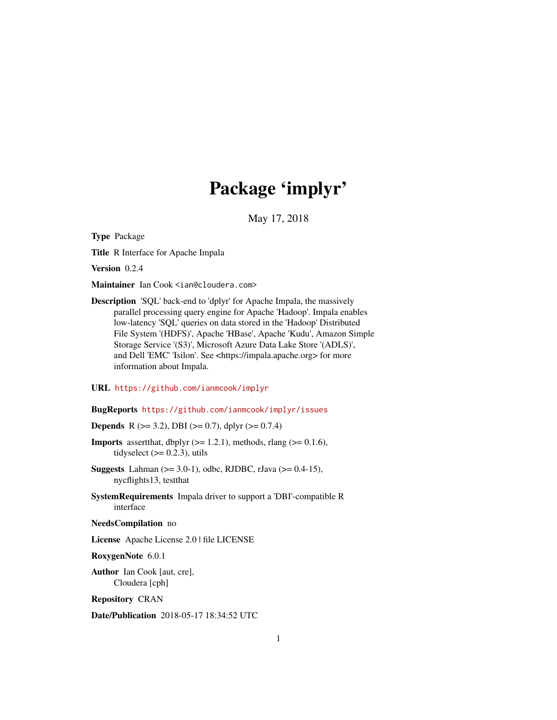# Package 'implyr'

May 17, 2018

<span id="page-0-0"></span>Type Package

Title R Interface for Apache Impala

Version 0.2.4

Maintainer Ian Cook <ian@cloudera.com>

Description 'SQL' back-end to 'dplyr' for Apache Impala, the massively parallel processing query engine for Apache 'Hadoop'. Impala enables low-latency 'SQL' queries on data stored in the 'Hadoop' Distributed File System '(HDFS)', Apache 'HBase', Apache 'Kudu', Amazon Simple Storage Service '(S3)', Microsoft Azure Data Lake Store '(ADLS)', and Dell 'EMC' 'Isilon'. See <https://impala.apache.org> for more information about Impala.

#### URL <https://github.com/ianmcook/implyr>

#### BugReports <https://github.com/ianmcook/implyr/issues>

**Depends** R ( $>= 3.2$ ), DBI ( $>= 0.7$ ), dplyr ( $>= 0.7.4$ )

- **Imports** assert that, dbplyr  $(>= 1.2.1)$ , methods, rlang  $(>= 0.1.6)$ , tidyselect  $(>= 0.2.3)$ , utils
- **Suggests** Lahman ( $>= 3.0-1$ ), odbc, RJDBC, rJava ( $>= 0.4-15$ ), nycflights13, testthat
- SystemRequirements Impala driver to support a 'DBI'-compatible R interface

#### NeedsCompilation no

License Apache License 2.0 | file LICENSE

RoxygenNote 6.0.1

Author Ian Cook [aut, cre], Cloudera [cph]

Repository CRAN

Date/Publication 2018-05-17 18:34:52 UTC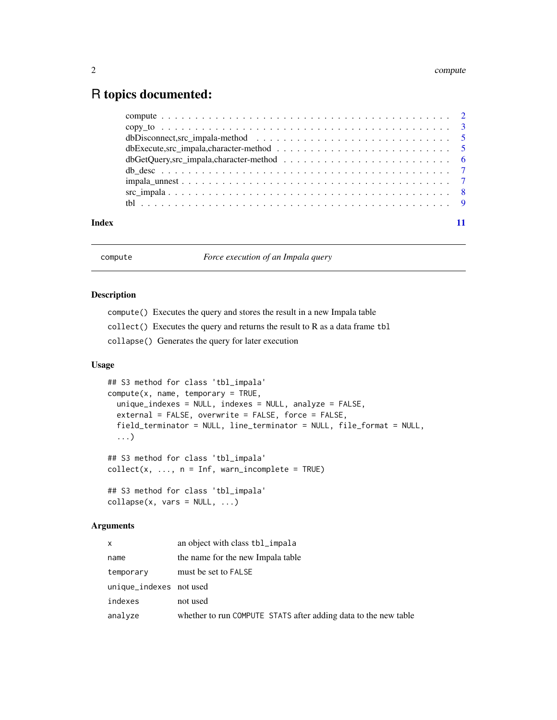# <span id="page-1-0"></span>R topics documented:

|       | dbExecute,src impala, character-method $\ldots \ldots \ldots \ldots \ldots \ldots \ldots \ldots \ldots \ldots$ |  |
|-------|----------------------------------------------------------------------------------------------------------------|--|
|       |                                                                                                                |  |
|       |                                                                                                                |  |
|       |                                                                                                                |  |
|       |                                                                                                                |  |
|       |                                                                                                                |  |
| Index |                                                                                                                |  |

compute *Force execution of an Impala query*

# Description

compute() Executes the query and stores the result in a new Impala table

collect() Executes the query and returns the result to R as a data frame tbl

collapse() Generates the query for later execution

# Usage

```
## S3 method for class 'tbl_impala'
compute(x, name, temporary = TRUE,unique_indexes = NULL, indexes = NULL, analyze = FALSE,
  external = FALSE, overwrite = FALSE, force = FALSE,
  field_terminator = NULL, line_terminator = NULL, file_format = NULL,
  ...)
## S3 method for class 'tbl_impala'
collect(x, ..., n = Inf, warn_incomplete = TRUE)## S3 method for class 'tbl_impala'
collapse(x, vars = NULL, ...)
```
#### Arguments

| X                       | an object with class tbl_impala                                 |
|-------------------------|-----------------------------------------------------------------|
| name                    | the name for the new Impala table                               |
| temporary               | must be set to FALSE                                            |
| unique_indexes not used |                                                                 |
| indexes                 | not used                                                        |
| analyze                 | whether to run COMPUTE STATS after adding data to the new table |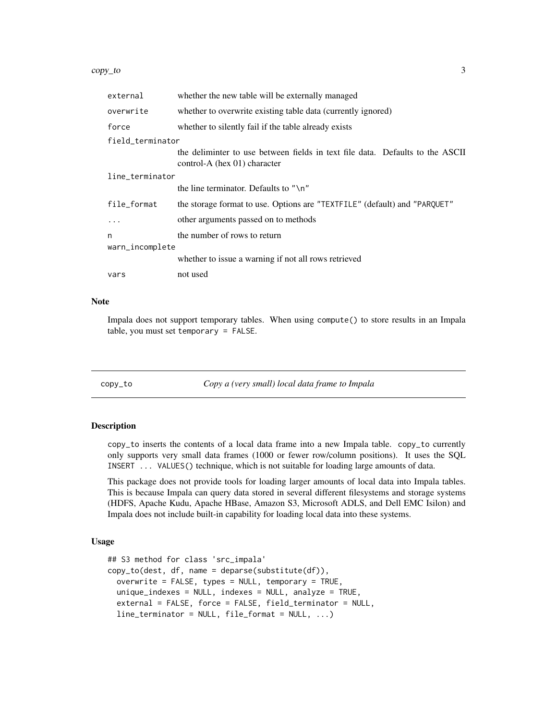#### <span id="page-2-0"></span>copy\_to 3

| external         | whether the new table will be externally managed                                                              |  |
|------------------|---------------------------------------------------------------------------------------------------------------|--|
| overwrite        | whether to overwrite existing table data (currently ignored)                                                  |  |
| force            | whether to silently fail if the table already exists                                                          |  |
| field terminator |                                                                                                               |  |
|                  | the deliminter to use between fields in text file data. Defaults to the ASCII<br>control-A (hex 01) character |  |
| line_terminator  |                                                                                                               |  |
|                  | the line terminator. Defaults to "\n"                                                                         |  |
| file_format      | the storage format to use. Options are "TEXTFILE" (default) and "PARQUET"                                     |  |
| .                | other arguments passed on to methods                                                                          |  |
| n                | the number of rows to return                                                                                  |  |
| warn_incomplete  |                                                                                                               |  |
|                  | whether to issue a warning if not all rows retrieved                                                          |  |
| vars             | not used                                                                                                      |  |

#### Note

Impala does not support temporary tables. When using compute() to store results in an Impala table, you must set temporary = FALSE.

copy\_to *Copy a (very small) local data frame to Impala*

# Description

copy\_to inserts the contents of a local data frame into a new Impala table. copy\_to currently only supports very small data frames (1000 or fewer row/column positions). It uses the SQL INSERT ... VALUES() technique, which is not suitable for loading large amounts of data.

This package does not provide tools for loading larger amounts of local data into Impala tables. This is because Impala can query data stored in several different filesystems and storage systems (HDFS, Apache Kudu, Apache HBase, Amazon S3, Microsoft ADLS, and Dell EMC Isilon) and Impala does not include built-in capability for loading local data into these systems.

#### Usage

```
## S3 method for class 'src_impala'
copy_to(dest, df, name = deparse(substitute(df)),
 overwrite = FALSE, types = NULL, temporary = TRUE,
 unique_indexes = NULL, indexes = NULL, analyze = TRUE,
  external = FALSE, force = FALSE, field_terminator = NULL,
  line_terminator = NULL, file_format = NULL, ...)
```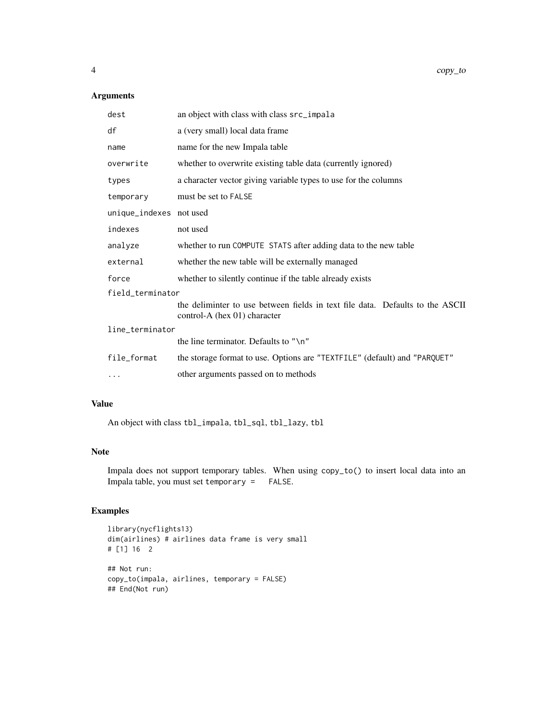# Arguments

| dest                    | an object with class with class src_impala                                                                    |  |
|-------------------------|---------------------------------------------------------------------------------------------------------------|--|
| df                      | a (very small) local data frame                                                                               |  |
| name                    | name for the new Impala table                                                                                 |  |
| overwrite               | whether to overwrite existing table data (currently ignored)                                                  |  |
| types                   | a character vector giving variable types to use for the columns                                               |  |
| temporary               | must be set to FALSE                                                                                          |  |
| unique_indexes not used |                                                                                                               |  |
| indexes                 | not used                                                                                                      |  |
| analyze                 | whether to run COMPUTE STATS after adding data to the new table                                               |  |
| external                | whether the new table will be externally managed                                                              |  |
| force                   | whether to silently continue if the table already exists                                                      |  |
| field_terminator        |                                                                                                               |  |
|                         | the deliminter to use between fields in text file data. Defaults to the ASCII<br>control-A (hex 01) character |  |
| line_terminator         |                                                                                                               |  |
|                         | the line terminator. Defaults to "\n"                                                                         |  |
| file_format             | the storage format to use. Options are "TEXTFILE" (default) and "PARQUET"                                     |  |
| $\cdots$                | other arguments passed on to methods                                                                          |  |

### Value

An object with class tbl\_impala, tbl\_sql, tbl\_lazy, tbl

#### Note

Impala does not support temporary tables. When using copy\_to() to insert local data into an Impala table, you must set temporary = FALSE.

# Examples

```
library(nycflights13)
dim(airlines) # airlines data frame is very small
# [1] 16 2
## Not run:
copy_to(impala, airlines, temporary = FALSE)
## End(Not run)
```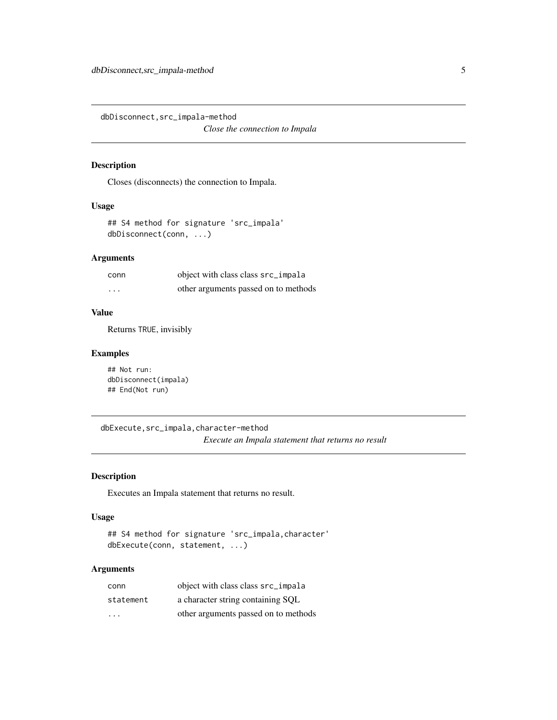<span id="page-4-0"></span>dbDisconnect,src\_impala-method *Close the connection to Impala*

# Description

Closes (disconnects) the connection to Impala.

#### Usage

```
## S4 method for signature 'src_impala'
dbDisconnect(conn, ...)
```
# Arguments

| conn     | object with class class src_impala   |
|----------|--------------------------------------|
| $\cdots$ | other arguments passed on to methods |

#### Value

Returns TRUE, invisibly

#### Examples

```
## Not run:
dbDisconnect(impala)
## End(Not run)
```
dbExecute,src\_impala,character-method *Execute an Impala statement that returns no result*

#### Description

Executes an Impala statement that returns no result.

#### Usage

```
## S4 method for signature 'src_impala,character'
dbExecute(conn, statement, ...)
```
# Arguments

| conn      | object with class class src_impala   |
|-----------|--------------------------------------|
| statement | a character string containing SOL    |
| .         | other arguments passed on to methods |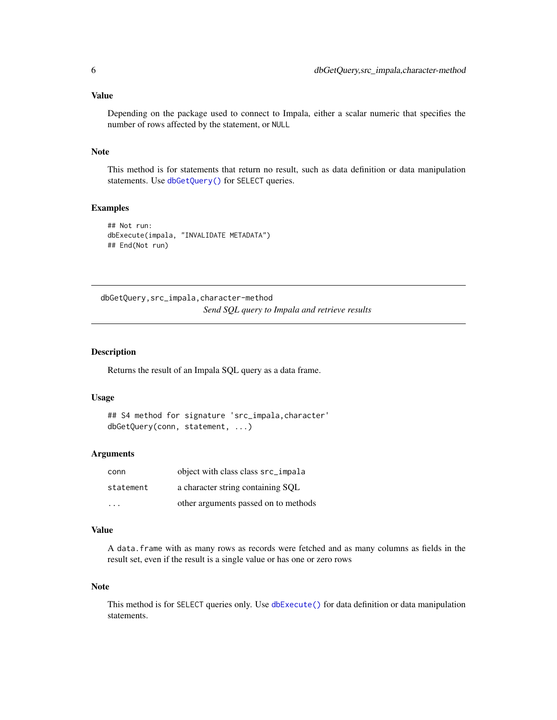#### <span id="page-5-0"></span>Value

Depending on the package used to connect to Impala, either a scalar numeric that specifies the number of rows affected by the statement, or NULL

#### Note

This method is for statements that return no result, such as data definition or data manipulation statements. Use [dbGetQuery\(\)](#page-0-0) for SELECT queries.

# Examples

```
## Not run:
dbExecute(impala, "INVALIDATE METADATA")
## End(Not run)
```
dbGetQuery,src\_impala,character-method *Send SQL query to Impala and retrieve results*

#### Description

Returns the result of an Impala SQL query as a data frame.

#### Usage

```
## S4 method for signature 'src_impala, character'
dbGetQuery(conn, statement, ...)
```
#### Arguments

| conn      | object with class class src_impala   |
|-----------|--------------------------------------|
| statement | a character string containing SQL    |
| .         | other arguments passed on to methods |

#### Value

A data.frame with as many rows as records were fetched and as many columns as fields in the result set, even if the result is a single value or has one or zero rows

#### Note

This method is for SELECT queries only. Use [dbExecute\(\)](#page-0-0) for data definition or data manipulation statements.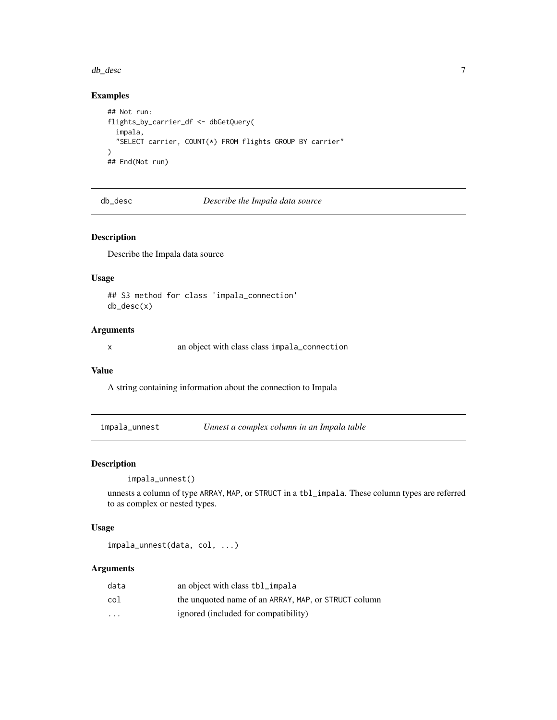#### <span id="page-6-0"></span>db\_desc 7

# Examples

```
## Not run:
flights_by_carrier_df <- dbGetQuery(
  impala,
  "SELECT carrier, COUNT(*) FROM flights GROUP BY carrier"
\lambda## End(Not run)
```
db\_desc *Describe the Impala data source*

### Description

Describe the Impala data source

#### Usage

## S3 method for class 'impala\_connection' db\_desc(x)

# Arguments

x an object with class class impala\_connection

# Value

A string containing information about the connection to Impala

impala\_unnest *Unnest a complex column in an Impala table*

#### Description

impala\_unnest()

unnests a column of type ARRAY, MAP, or STRUCT in a tbl\_impala. These column types are referred to as complex or nested types.

### Usage

impala\_unnest(data, col, ...)

#### Arguments

| data                 | an object with class tbl_impala                      |
|----------------------|------------------------------------------------------|
| col                  | the unquoted name of an ARRAY, MAP, or STRUCT column |
| $\ddot{\phantom{0}}$ | ignored (included for compatibility)                 |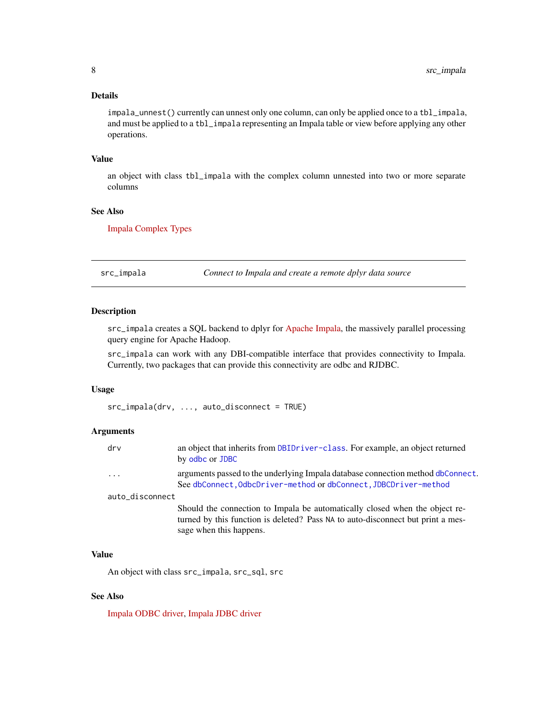#### <span id="page-7-0"></span>Details

impala\_unnest() currently can unnest only one column, can only be applied once to a tbl\_impala, and must be applied to a tbl\_impala representing an Impala table or view before applying any other operations.

#### Value

an object with class tbl\_impala with the complex column unnested into two or more separate columns

#### See Also

[Impala Complex Types](https://www.cloudera.com/documentation/enterprise/latest/topics/impala_complex_types.html)

src\_impala *Connect to Impala and create a remote dplyr data source*

# Description

src\_impala creates a SQL backend to dplyr for [Apache Impala,](https://impala.apache.org/) the massively parallel processing query engine for Apache Hadoop.

src\_impala can work with any DBI-compatible interface that provides connectivity to Impala. Currently, two packages that can provide this connectivity are odbc and RJDBC.

#### Usage

src\_impala(drv, ..., auto\_disconnect = TRUE)

#### Arguments

| $\mathsf{d} \mathsf{r} \mathsf{v}$ | an object that inherits from DBIDriver-class. For example, an object returned<br>by odbc or JDBC                                                               |
|------------------------------------|----------------------------------------------------------------------------------------------------------------------------------------------------------------|
| $\cdot \cdot \cdot$                | arguments passed to the underlying Impala database connection method dbConnect.<br>See dbConnect, OdbcDriver-method or dbConnect, JDBCDriver-method            |
| auto_disconnect                    |                                                                                                                                                                |
|                                    | Should the connection to Impala be automatically closed when the object re-<br>turned by this function is deleted? Pass NA to auto-disconnect but print a mes- |

#### Value

An object with class src\_impala, src\_sql, src

sage when this happens.

### See Also

[Impala ODBC driver,](https://www.cloudera.com/downloads/connectors/impala/odbc.html) [Impala JDBC driver](https://www.cloudera.com/downloads/connectors/impala/jdbc.html)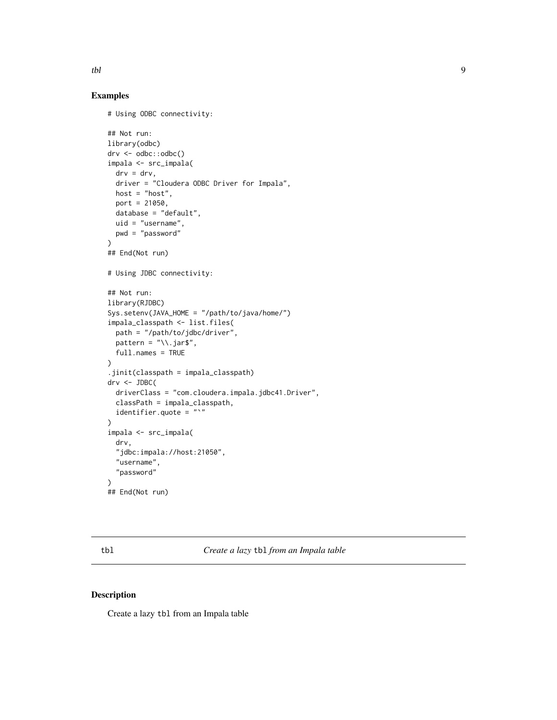# <span id="page-8-0"></span>Examples

```
# Using ODBC connectivity:
## Not run:
library(odbc)
drv <- odbc::odbc()
impala <- src_impala(
  drv = drv,
  driver = "Cloudera ODBC Driver for Impala",
 host = "host",
 port = 21050,
 database = "default",
 uid = "username",
  pwd = "password"
\lambda## End(Not run)
# Using JDBC connectivity:
## Not run:
library(RJDBC)
Sys.setenv(JAVA_HOME = "/path/to/java/home/")
impala_classpath <- list.files(
 path = "/path/to/jdbc/driver",
 pattern = "\wedge.jar$",
  full.names = TRUE
)
.jinit(classpath = impala_classpath)
drv <- JDBC(
  driverClass = "com.cloudera.impala.jdbc41.Driver",
  classPath = impala_classpath,
  identifier.quote = "'')
impala <- src_impala(
  drv,
  "jdbc:impala://host:21050",
  "username",
  "password"
)
## End(Not run)
```
tbl *Create a lazy* tbl *from an Impala table*

#### Description

Create a lazy tbl from an Impala table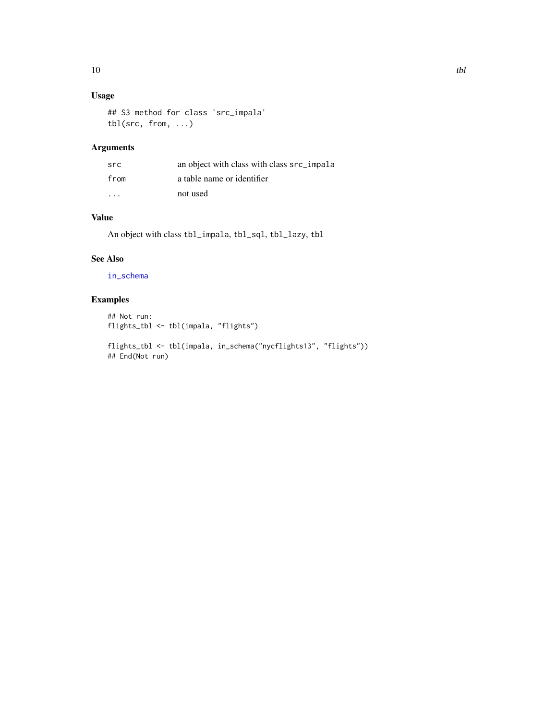# <span id="page-9-0"></span>Usage

## S3 method for class 'src\_impala' tbl(src, from, ...)

# Arguments

| src                     | an object with class with class src_impala |
|-------------------------|--------------------------------------------|
| from                    | a table name or identifier                 |
| $\cdot$ $\cdot$ $\cdot$ | not used                                   |

# Value

An object with class tbl\_impala, tbl\_sql, tbl\_lazy, tbl

# See Also

[in\\_schema](#page-0-0)

# Examples

```
## Not run:
flights_tbl <- tbl(impala, "flights")
```

```
flights_tbl <- tbl(impala, in_schema("nycflights13", "flights"))
## End(Not run)
```